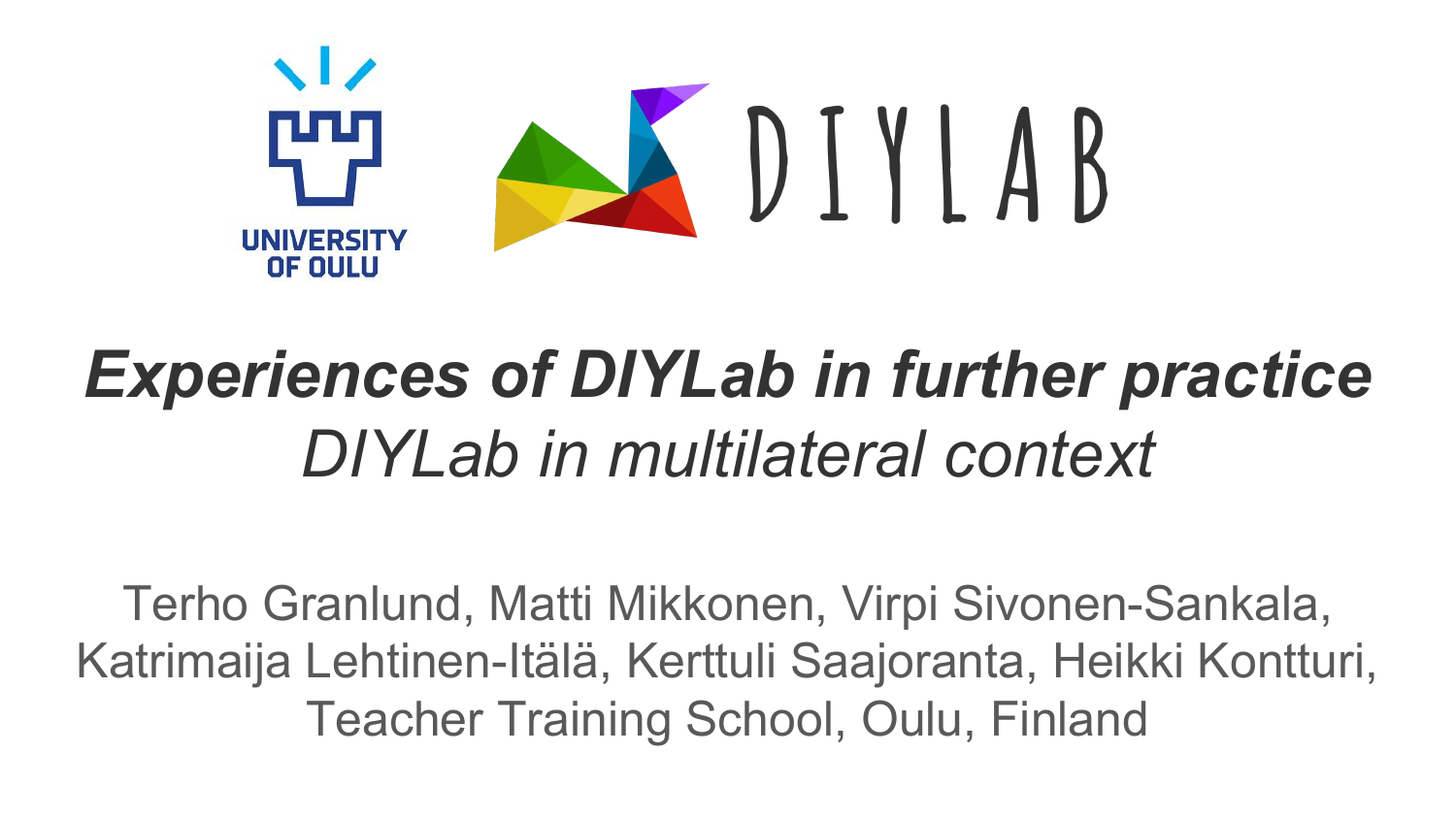

# *Experiences of DIYLab in further practice DIYLab in multilateral context*

Terho Granlund, Matti Mikkonen, Virpi Sivonen-Sankala, Katrimaija Lehtinen-Itälä, Kerttuli Saajoranta, Heikki Kontturi, Teacher Training School, Oulu, Finland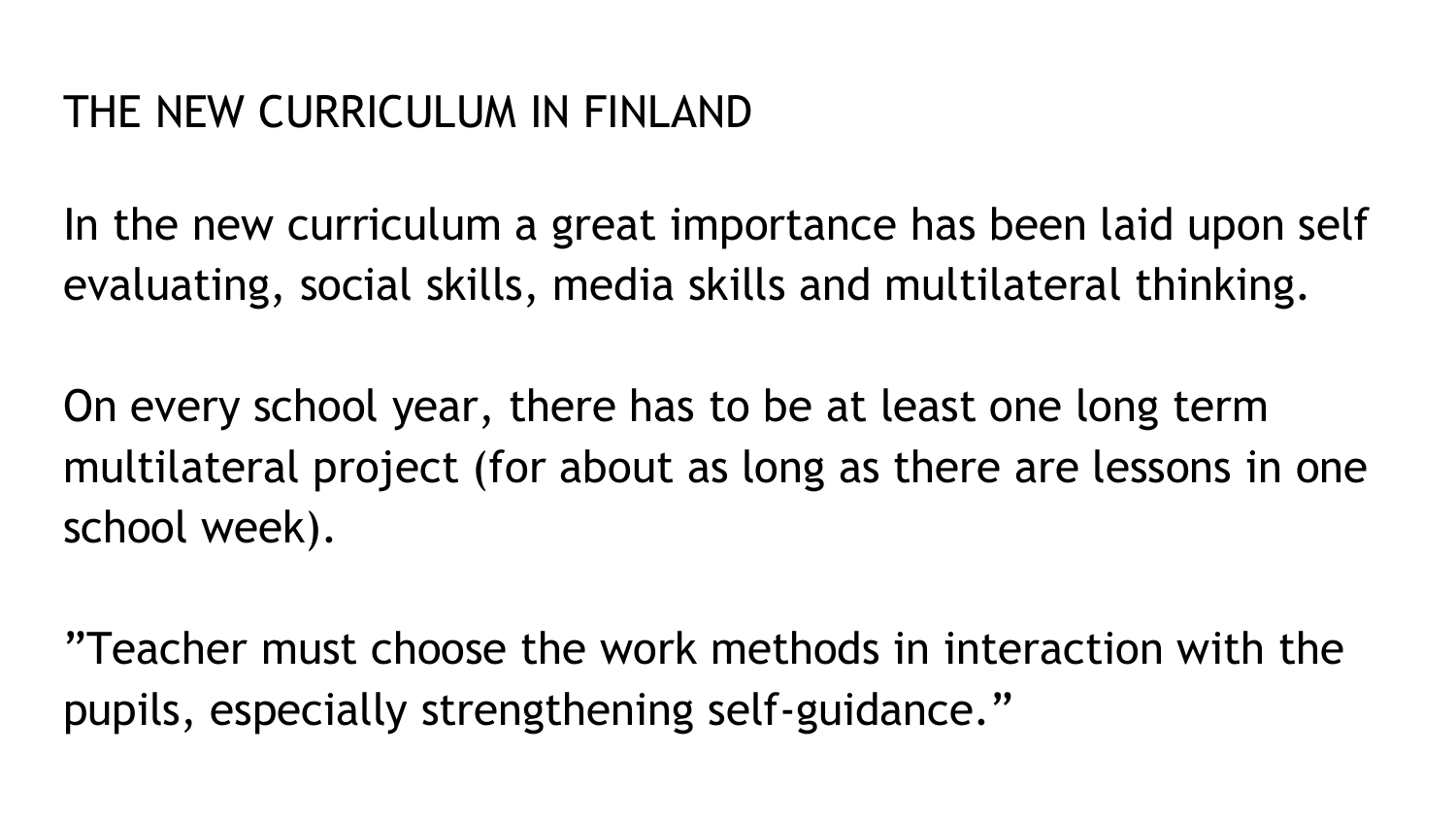#### THE NEW CURRICULUM IN FINLAND

In the new curriculum a great importance has been laid upon self evaluating, social skills, media skills and multilateral thinking.

On every school year, there has to be at least one long term multilateral project (for about as long as there are lessons in one school week).

"Teacher must choose the work methods in interaction with the pupils, especially strengthening self-guidance."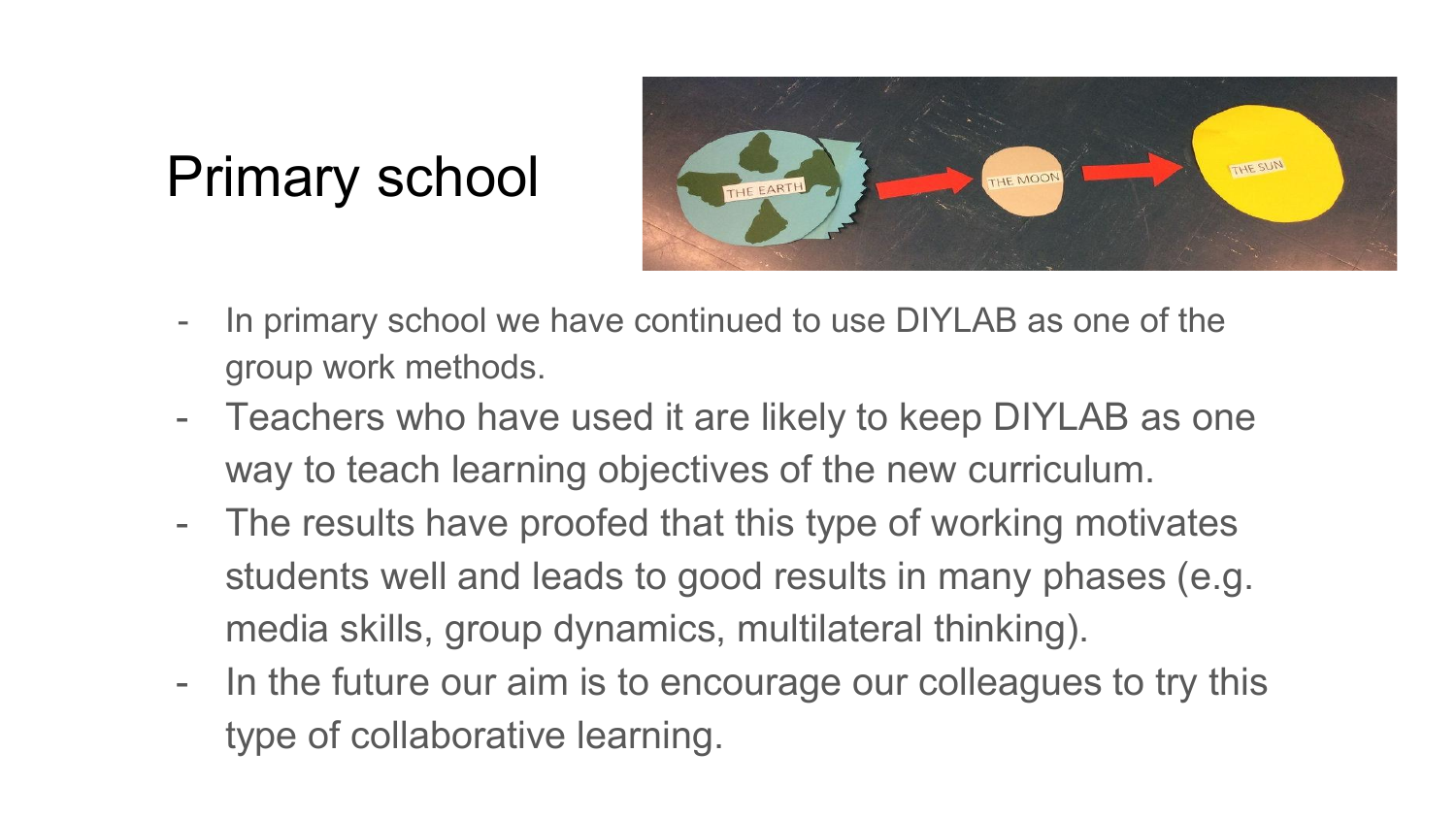# Primary school



- In primary school we have continued to use DIYLAB as one of the group work methods.
- Teachers who have used it are likely to keep DIYLAB as one way to teach learning objectives of the new curriculum.
- The results have proofed that this type of working motivates students well and leads to good results in many phases (e.g. media skills, group dynamics, multilateral thinking).
- In the future our aim is to encourage our colleagues to try this type of collaborative learning.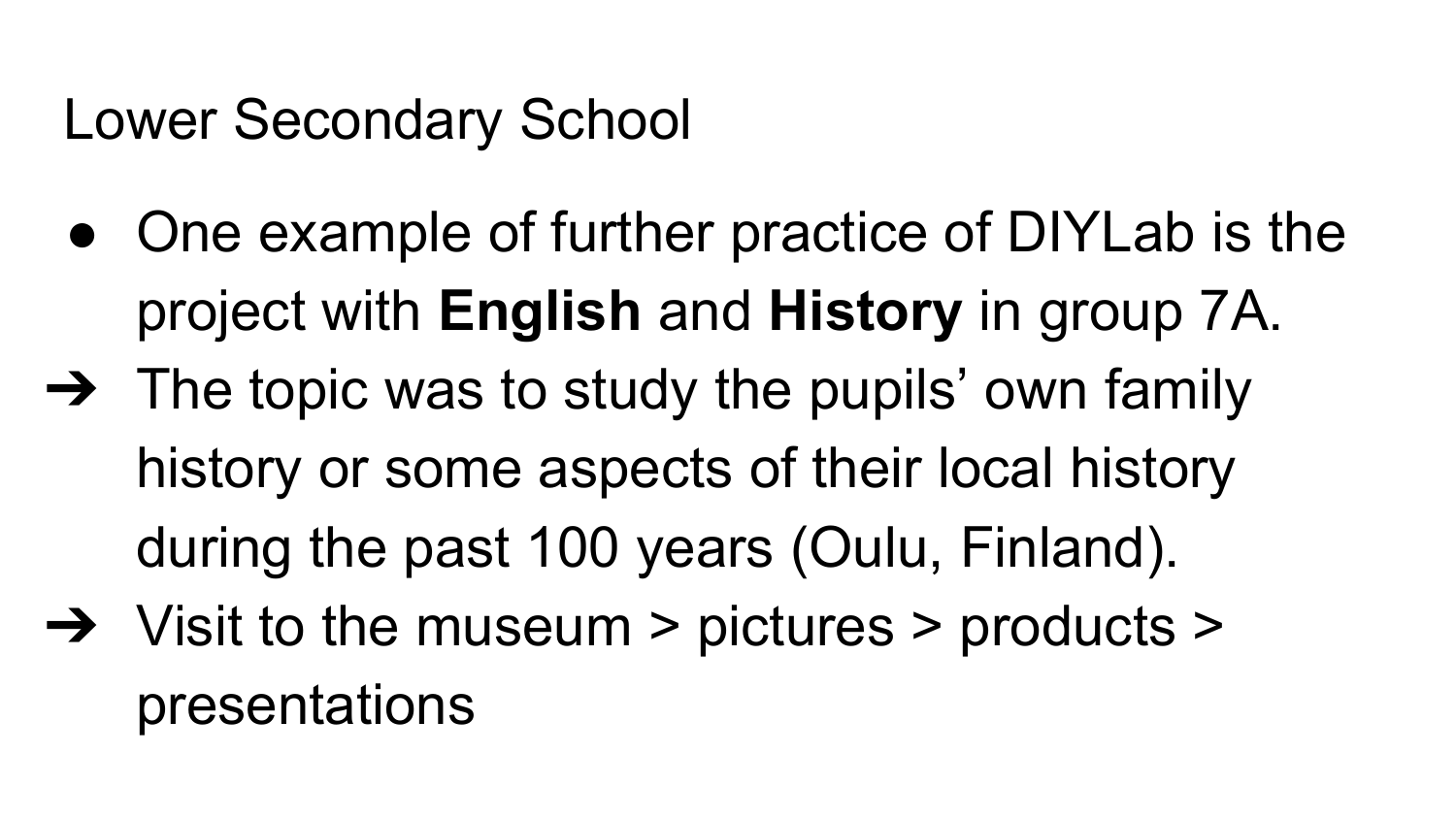### Lower Secondary School

- One example of further practice of DIYLab is the project with **English** and **History** in group 7A.
- $\rightarrow$  The topic was to study the pupils' own family history or some aspects of their local history during the past 100 years (Oulu, Finland).
- ➔ Visit to the museum > pictures > products > presentations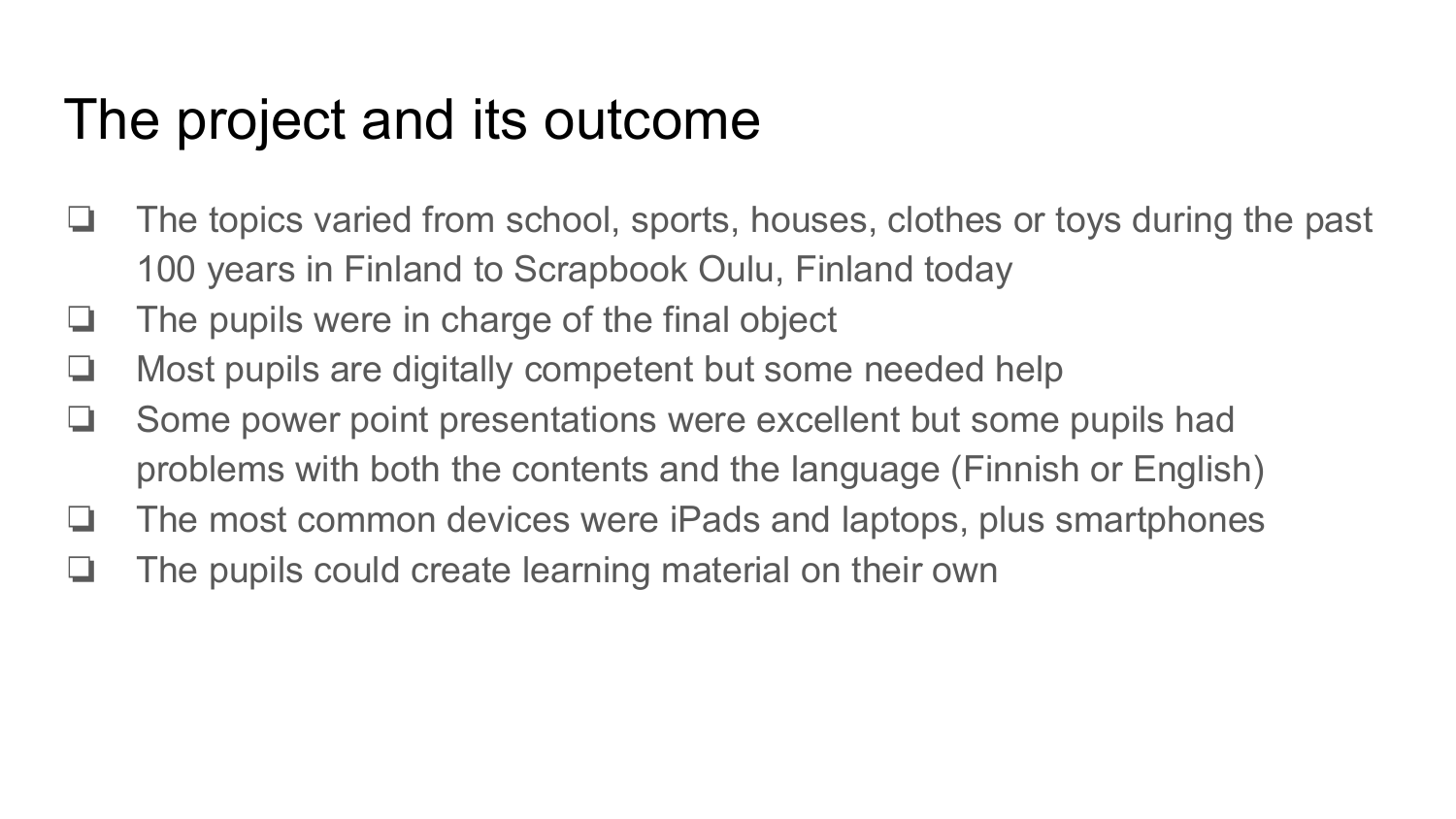### The project and its outcome

- ❏ The topics varied from school, sports, houses, clothes or toys during the past 100 years in Finland to Scrapbook Oulu, Finland today
- ❏ The pupils were in charge of the final object
- ❏ Most pupils are digitally competent but some needed help
- ❏ Some power point presentations were excellent but some pupils had problems with both the contents and the language (Finnish or English)
- ❏ The most common devices were iPads and laptops, plus smartphones
- ❏ The pupils could create learning material on their own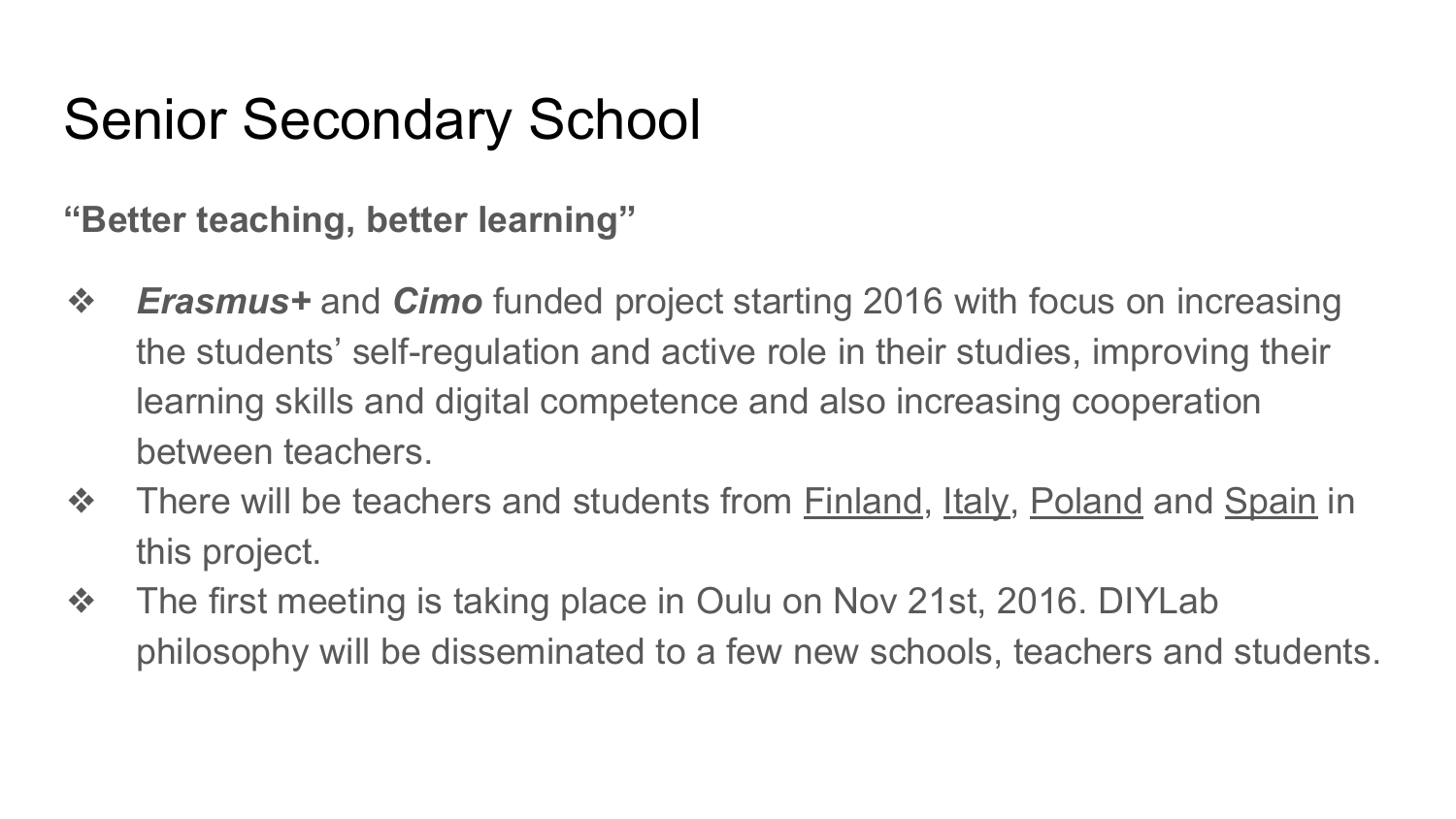## Senior Secondary School

**"Better teaching, better learning"**

- ❖ *Erasmus+* and *Cimo* funded project starting 2016 with focus on increasing the students' self-regulation and active role in their studies, improving their learning skills and digital competence and also increasing cooperation between teachers.
- ❖ There will be teachers and students from Finland, Italy, Poland and Spain in this project.
- ❖ The first meeting is taking place in Oulu on Nov 21st, 2016. DIYLab philosophy will be disseminated to a few new schools, teachers and students.